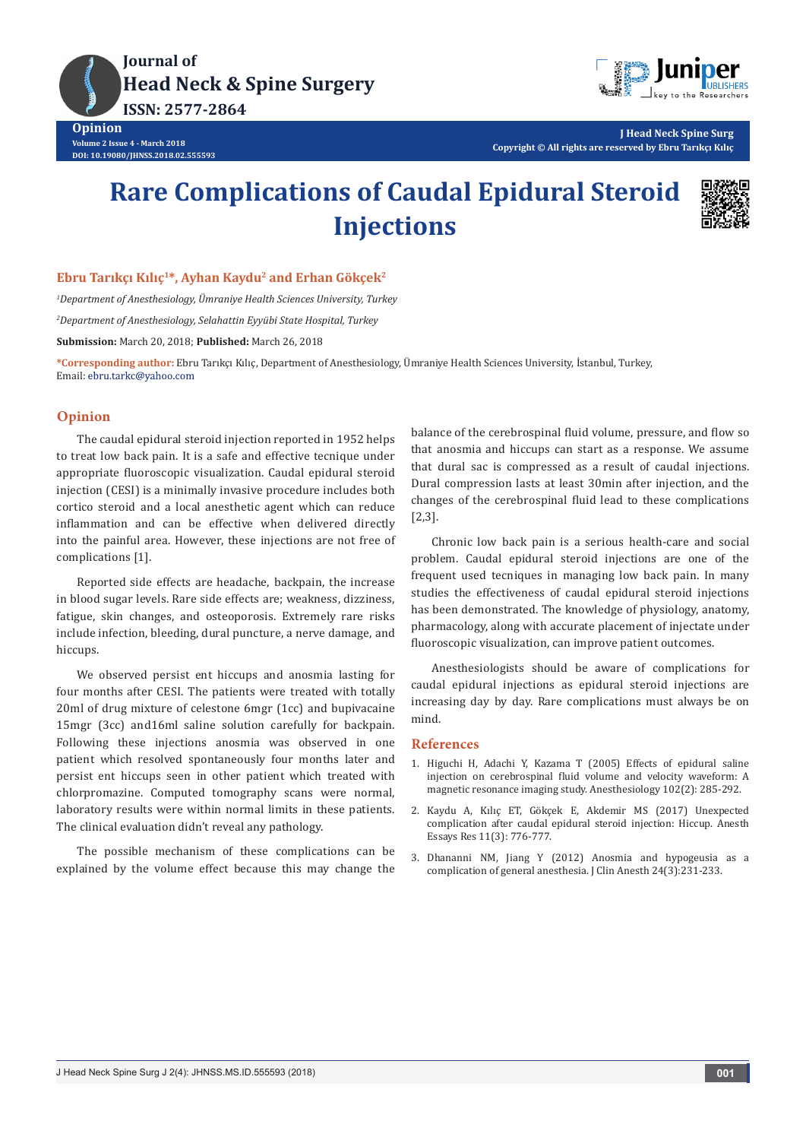



**J Head Neck Spine Surg Copyright © All rights are reserved by Ebru Tarıkçı Kılıç**

# **Rare Complications of Caudal Epidural Steroid Injections**



### **Ebru Tarıkçı Kılıç<sup>1</sup>\*, Ayhan Kaydu<sup>2</sup> and Erhan Gökçek<sup>2</sup>**

*1 Department of Anesthesiology, Ümraniye Health Sciences University, Turkey 2 Department of Anesthesiology, Selahattin Eyyübi State Hospital, Turkey* **Submission:** March 20, 2018; **Published:** March 26, 2018

**\*Corresponding author:** Ebru Tarıkçı Kılıç, Department of Anesthesiology, Ümraniye Health Sciences University, İstanbul, Turkey, Email: ebru.tarkc@yahoo.com

## **Opinion**

The caudal epidural steroid injection reported in 1952 helps to treat low back pain. It is a safe and effective tecnique under appropriate fluoroscopic visualization. Caudal epidural steroid injection (CESI) is a minimally invasive procedure includes both cortico steroid and a local anesthetic agent which can reduce inflammation and can be effective when delivered directly into the painful area. However, these injections are not free of complications [1].

Reported side effects are headache, backpain, the increase in blood sugar levels. Rare side effects are; weakness, dizziness, fatigue, skin changes, and osteoporosis. Extremely rare risks include infection, bleeding, dural puncture, a nerve damage, and hiccups.

We observed persist ent hiccups and anosmia lasting for four months after CESI. The patients were treated with totally 20ml of drug mixture of celestone 6mgr (1cc) and bupivacaine 15mgr (3cc) and16ml saline solution carefully for backpain. Following these injections anosmia was observed in one patient which resolved spontaneously four months later and persist ent hiccups seen in other patient which treated with chlorpromazine. Computed tomography scans were normal, laboratory results were within normal limits in these patients. The clinical evaluation didn't reveal any pathology.

The possible mechanism of these complications can be explained by the volume effect because this may change the balance of the cerebrospinal fluid volume, pressure, and flow so that anosmia and hiccups can start as a response. We assume that dural sac is compressed as a result of caudal injections. Dural compression lasts at least 30min after injection, and the changes of the cerebrospinal fluid lead to these complications [2,3].

Chronic low back pain is a serious health-care and social problem. Caudal epidural steroid injections are one of the frequent used tecniques in managing low back pain. In many studies the effectiveness of caudal epidural steroid injections has been demonstrated. The knowledge of physiology, anatomy, pharmacology, along with accurate placement of injectate under fluoroscopic visualization, can improve patient outcomes.

Anesthesiologists should be aware of complications for caudal epidural injections as epidural steroid injections are increasing day by day. Rare complications must always be on mind.

#### **References**

- 1. [Higuchi H, Adachi Y, Kazama T \(2005\) Effects of epidural saline](https://www.ncbi.nlm.nih.gov/pubmed/15681941)  [injection on cerebrospinal fluid volume and velocity waveform: A](https://www.ncbi.nlm.nih.gov/pubmed/15681941)  [magnetic resonance imaging study. Anesthesiology 102\(2\): 285-292.](https://www.ncbi.nlm.nih.gov/pubmed/15681941)
- 2. [Kaydu A, Kılıç ET, Gökçek E, Akdemir MS \(2017\) Unexpected](https://www.ncbi.nlm.nih.gov/pubmed/28928587)  [complication after caudal epidural steroid injection: Hiccup. Anesth](https://www.ncbi.nlm.nih.gov/pubmed/28928587)  [Essays Res 11\(3\): 776-777.](https://www.ncbi.nlm.nih.gov/pubmed/28928587)
- 3. [Dhananni NM, Jiang Y \(2012\) Anosmia and hypogeusia as a](https://www.ncbi.nlm.nih.gov/pubmed/22495083)  [complication of general anesthesia. J Clin Anesth 24\(3\):231-233.](https://www.ncbi.nlm.nih.gov/pubmed/22495083)